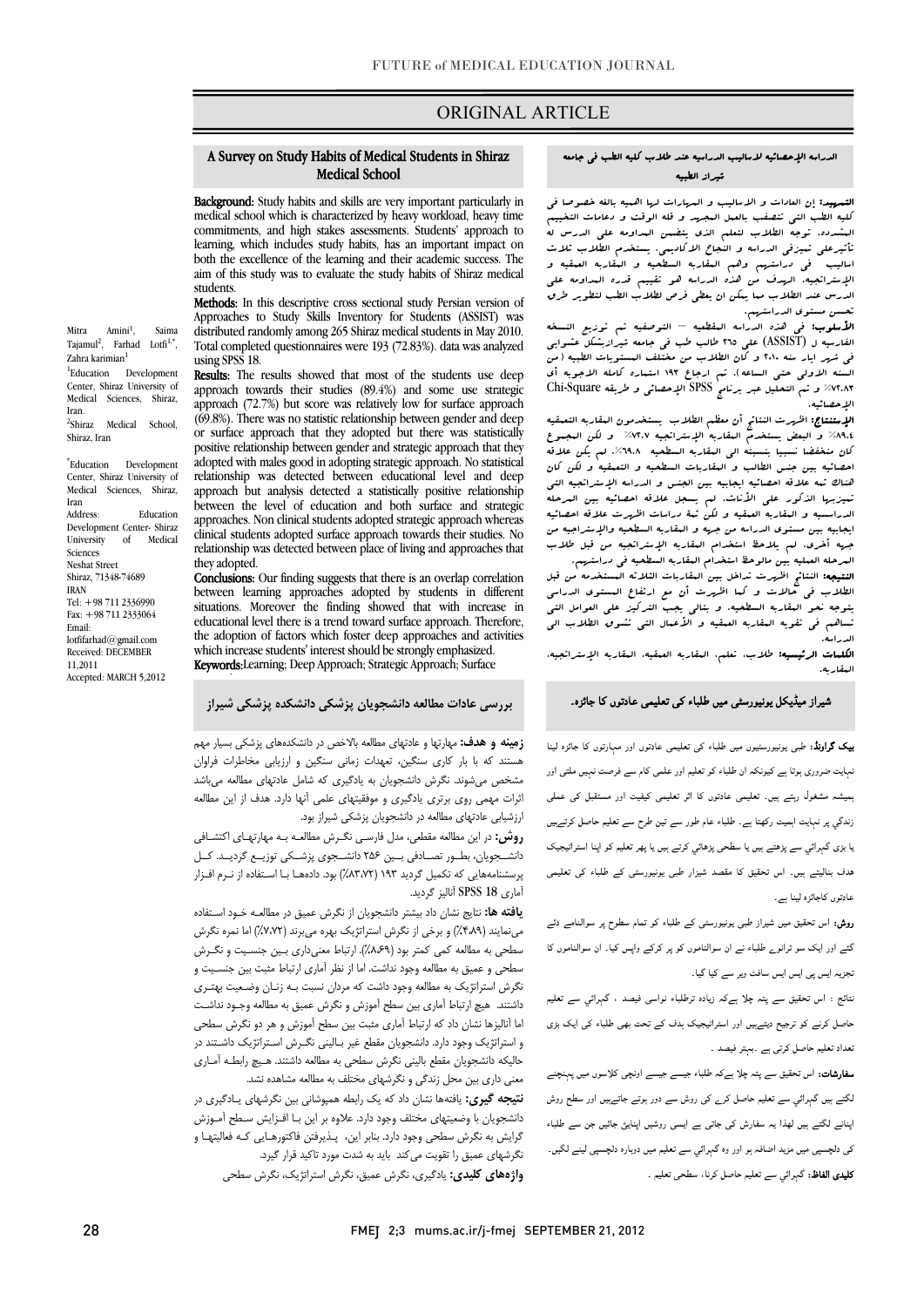# ORIGINAL ARTICLE

#### A Survey on Study Habits of Medical Students in Shiraz Medical School

ī

medical school which is characterized by heavy workload, heavy time commitments, and high stakes assessments. Students' approach to both the excellence of the learning and their academic success. The aim of this study was to evaluate the study habits of Shiraz medical Background: Study habits and skills are very important particularly in learning, which includes study habits, has an important impact on students.

Methods: In this descriptive cross sectional study Persian version of Approacnes to study skills inventory for students (ASSIS1) was<br>distributed randomly among 265 Shiraz medical students in May 2010. Total completed questionnaires were 193 (72.83%). data was analyzed Approaches to Study Skills Inventory for Students (ASSIST) was using SPSS 18.

using sr33 10.<br>**Results:** The results showed that most of the students use deep approach towards their studies (89.4%) and some use strategic  $(69.8\%)$ . There was no statistic relationship between gender and deep or surface approach that they adopted but there was statistically adopted with males good in adopting strategic approach. No statistical relationship was detected between educational level and deep between the level of education and both surface and strategic approaches. Non clinical students adopted strategic approach whereas relationship was detected between place of living and approaches that approach (72.7%) but score was relatively low for surface approach positive relationship between gender and strategic approach that they approach but analysis detected a statistically positive relationship clinical students adopted surface approach towards their studies. No they adopted.

tney adopted.<br>**Conclusions:** Our finding suggests that there is an overlap correlation between learning approaches adopted by students in different situations. Moreover the finding showed that with increase in the adoption of factors which foster deep approaches and activities which increase suddents interest should be strongly emphasized.<br>Keywords:Learning; Deep Approach; Strategic Approach; Surface educational level there is a trend toward surface approach. Therefore, which increase students' interest should be strongly emphasized.

h

### **بررسي عادات مطالعه دانشجويان پزشكي دانشكده پزشكي شيراز**

 **زمينه و هدف:** مهارتها و عادتهاي مطالعه بالاخص در دانشكدههاي پزشكي بسيار مهم مسسد که با بار کاری تسکین. نگهدات رسی تسکین و ارزیابی ساملرات کراوان<br>مشخص میشوند. نگرش دانشجویان به یادگیری که شامل عادتهای مطالعه میباشد اثرات مهمي روي برتري يادگيري و موفقيتهاي علمي آنها دارد. هدف از اين مطالعه ارزشيابي عادتهاي مطالعه در دانشجويان پزشكي شيراز بود. هستند كه با بار كاري سنگين، تعهدات زماني سنگين و ارزيابي مخاطرات فراوان

 **روش:** در اين مطالعه مقطعي، مدل فارسـي نگـرش مطالعـه بـه مهارتهـاي اكتشـافي دانشــجويان، بطــور تصــادفي بــين 256 دانشــجوي پزشــكي توزيــع گرديــد. كــل پرسشنامههايي كه تكميل گرديد 193 (%83،72) بود. دادههـا بـا اسـتفاده از نـرم افـزار آماري 18 SPSS آناليز گرديد.

 **يافته ها:** نتايج نشان داد بيشتر دانشجويان از نگرش عميق در مطالعـه خـود اسـتفاده مينمايند (%4،89) و برخي از نگرش استراتژيك بهره ميبرند (%7،72) اما نمره نگرش سطحي به مطالعه كمي كمتر بود (%8،69). ارتباط معنيداري بـين جنسـيت و نگـرش سطحي و عميق به مطالعه وجود نداشت. اما از نظر آماري ارتباط مثبت بين جنسـيت و نگرش استراتژيك به مطالعه وجود داشت كه مردان نسبت بـه زنـان وضـعيت بهتـري اما آناليزها نشان داد كه ارتباط آماري مثبت بين سطح آموزش و هر دو نگرش سطحي و استراتژيك وجود دارد. دانشجويان مقطع غير بـاليني نگـرش اسـتراتژيك داشـتند در حاليكه دانشجويان مقطع باليني نگرش سطحي به مطالعه داشتند. هـيچ رابطـه آمـاري معني داري بين محل زندگي و نگرشهاي مختلف به مطالعه مشاهده نشد. داشتند. هيچ ارتباط آماري بين سطح آموزش و نگرش عميق به مطالعه وجـود نداشـت

 **نتيجه گيري:** يافتهها نشان داد كه يك رابطه همپوشاني بين نگرشهاي يـادگيري در گرايش به نگرش سطحي وجود دارد. بنابر اين، پـذيرفتن فاكتورهـايي كـه فعاليتهـا و نگرشهاي عميق را تقويت ميكند بايد به شدت مورد تاكيد قرار گيرد. دانشجويان با وضعيتهاي مختلف وجود دارد. علاوه بر اين بـا افـزايش سـطح آمـوزش

**واژههاي كليدي:** يادگيري، نگرش عميق، نگرش استراتژيك، نگرش سطحي

#### الدراسه الإحصائيه لاساليب الدراسيه عند طلاب كليه الطب في جامعه شيراز الطبيه

Ī

السر التي تتصفيح التي تتصف التي تتصف التي تتجه التي تسم التي تسم التي تتصف التي ت<br>كليه الطب التي تتصفب بالعمل البجهد و قله الوقت و دعامات التخييم المشدده. توجه الطلاب لتعلم الذي يتضمن المداومه علي الدرس له تأثيرعلي تميزفي الدراسه و النجاح الاكاديمي. يستخدم الطلاب ثلاث الإستراتجيه. الهدف من هذه الدراسه هو تقييم قدره المداومه علي الدرس عند الطلاب مما يمكن ان يعطي فرص لطلاب الطب لتطوير طرق تحسن مستوى الدراستهم.<br>ا**لأسد س:** فر هذه الدراسا التمهيد: إن العادات و الاساليب و المهارات لها اهميه بالغه خصوصا في اساليب في دراستهم وهم المقاربه السطحيه و المقاربه العمقيه و

 الفارسيه ل (ASSIST (علي 265 طالب طب في جامعه شيرازبشكل عشوايي Ļ الأسلوب: في هذه الدراسه المقطعيه – التوصفيه تم توزيع النسخه في شهر ايار سنه 2010 و كان الطلاب من مختلف المستويات الطبيه (من السنه الاولي حتي الساعه). تم ارجاع 193 استماره كامله الاجوبه أي %72.83 و تم التحليل عبر برنامج SPSS الإحصائي و طريقه Square-Chi الإحصائيه.

ب مستنت<br>**الإستنتاج:** اظهرت النتائج أن معظم الطلاب يستخدمون المقاربه التعمقيه %89.4 و البعض يستخدم المقاربه الإستراتجيه %72.7 و لكن المجموع كان منخفضا نسبيا بنسبته الي المقاربه السطحيه .%69.8 لم يكن علاقه هناك ثمه علاقه احصائيه ايجابيه بين الجنس و الدراسه الإستراتجيه التي تميزبها الذكور علي الأناث. لم يسجل علاقه احصائيه بين المرحله ايجابيه بين مستوي الدراسه من جهه و المقاربه السطحيه والإستراجيه من جهه أخري. لم يلاحظ استخدام المقاربه الإستراتجيه من قبل طلاب احصائيه بين جنس الطالب و المقاربات السطحيه و التعمقيه و لكن كان الدراسسيه و المقاربه العمقيه و لكن ثمة دراسات اظهرت علاقه احصائيه

المرحله العمليه بين مالوحظ استخدام البقاربه السطحيه في دراستهم.<br>الله من النتائج باظهر من شياف المقابل المقابلة المقابلات المقابل من المقابل الطلاب في حالات و كما اظهرت أن مع ارتفاع المستوي الدراسي يتوجه نحو المقاربه السطحيه. و بتالي يجب التركيز علي العوامل التي النتيجه: النتائج اظهرت تداخل بين المقاربات الثلاثه المستخدمه من قبل تساهم في تقويه المقاربه العمقيه و الأعمال التي تشوق الطلاب الي الدراسه.

 الكلمات الرئيسيه: طلاب، تعلم، المقاربه العمقيه، المقاربه الإستراتجيه، المقاربه.

### شیراز میڈیکل یونیورسٹی میں طلباء کی تعلیمی عادتوں کا جائزہ۔

 بیک گراونڈ: طبی یونیورسٹیوں میں طلباء کی تعلیمی عادتوں اور مہارتوں کا جائزہ لینا نہایت ضروری ہوتا ہے کیونکہ ان طلباء کو تعلیم اور علمی کام سے فرصت نہیں ملتی اور ہمیشہ مشغول رہتے ہیں۔ تعلیمی عادتوں کا اثر تعلیمی کیفیت اور مستقبل کی عملی زندگي پر نہایت اہمیت رکھتا ہے۔ طلباء عام طور سے تین طرح سے تعلیم حاصل کرتےہیں یا بڑی گہرائي سے پڑھتے ہیں یا سطحی پڑھائي کرتے ہیں یا پھر تعلیم کو اپنا اسٹراٹیجیک ھدف بنالیتے ہیں۔ اس تحقیق کا مقصد شیزار طبی یونیورسٹی کے طلباء کی تعلیمی عادتوں کاجائزہ لینا ہے۔

 روش: اس تحقیق میں شیراز طبی یونیورسٹی کے طلباء کو تمام سطوح پر سوالنامے دئے گئے اور ایک سو ترانوے طلباء نے ان سوالناموں کو پر کرکے واپس کیا۔ ان سوالناموں کا تجزیہ ایس پی ایس ایس سافٹ ویر سے کیا گيا۔

 نتائج : اس تحقیق سے پتہ چلا ہےکہ زیادہ ترطلباء نواسی فیصد ، گہرائي سے تعلیم حاصل کرنے کو ترجیح دیتےہیں اور اسٹراٹیجیک ہدف کے تحت بھی طلباء کی ایک بڑی تعداد تعلیم حاصل کرتی ہے ۔بہتر فیصد ۔

**سفارشات:** اس تحقیق سے پتہ چلا ہےکہ طلباء جیسے جیسے اونچی کلاسوں میں پہنچنے<br>۔ لگتے ہیں گہرائي سے تعلیم حاصل کرے کی روش سے دور ہوتے جاتےہیں اور سطح روش اپنانے لگتے ہیں لھذا یہ سفارش کی جاتی ہے ایسی روشیں اپنايئ جائيں جن سے طلباء کی دلچسپی میں مزید اضافہ ہو اور وہ گہرائي سے تعلیم میں دوبارہ دلچسپی لینے لگيں۔ کلیدی الفاظ: گہرائي سے تعلیم حاصل کرنا، سطحی تعلیم ۔

Mitra Amini<sup>1</sup>, Saima

Center, Shiraz University of Medical Sciences, Shiraz, Iran<br>Address **Education** Development Center-Shiraz<br>University of Medical University Sciences Neshat Street Shiraz, 71348-74689 IRAN Tel: +98 711 2336990 Fax: +98 711 2333064 Email: lotfifarhad@gmail.com Received: DECEMBER 11,2011 Accepted: MARCH 5,2012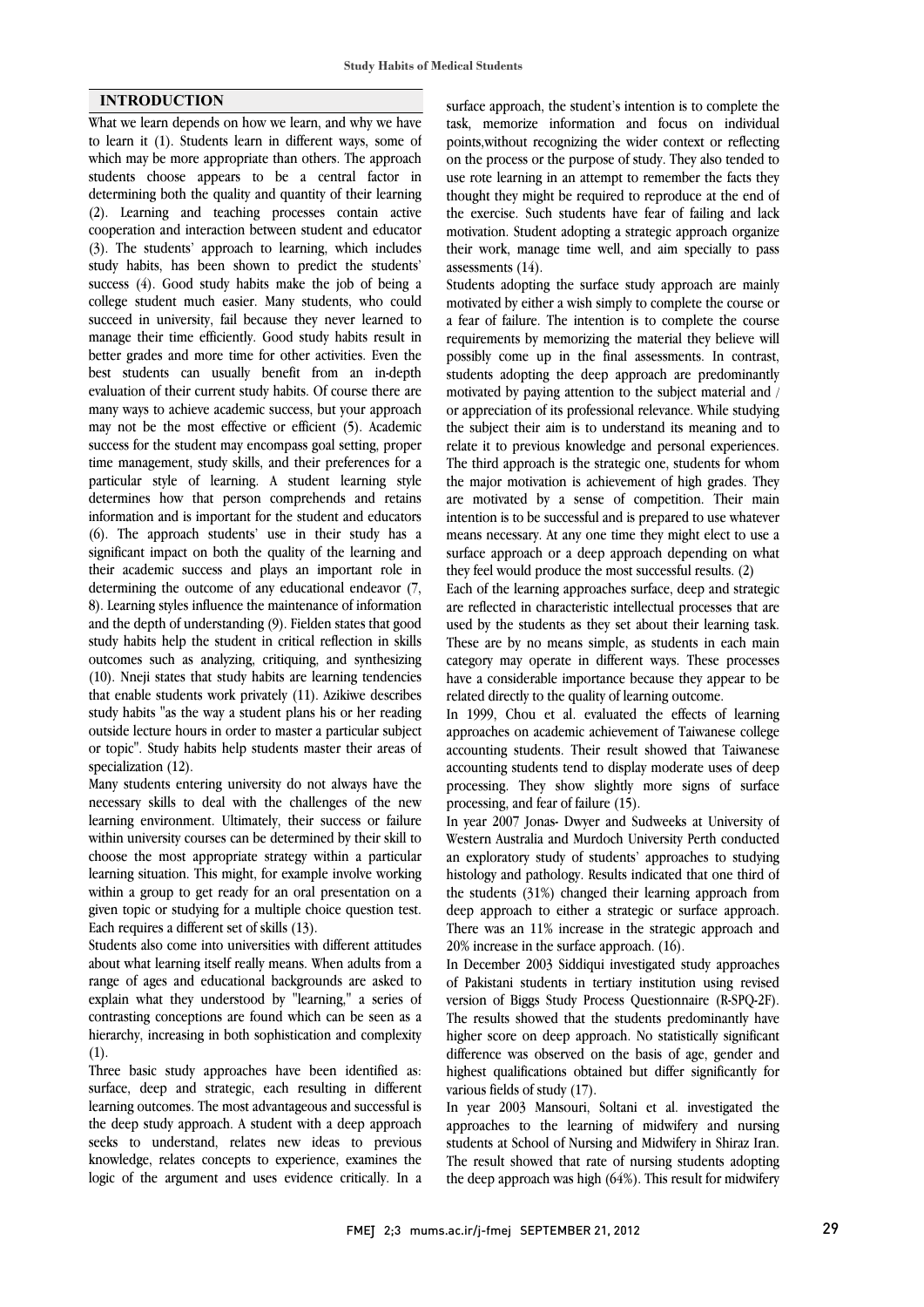#### **INTRODUCTION**

What we learn depends on how we learn, and why we have to learn it (1). Students learn in different ways, some of which may be more appropriate than others. The approach students choose appears to be a central factor in determining both the quality and quantity of their learning (2). Learning and teaching processes contain active cooperation and interaction between student and educator (3). The students' approach to learning, which includes study habits, has been shown to predict the students' success (4). Good study habits make the job of being a college student much easier. Many students, who could succeed in university, fail because they never learned to manage their time efficiently. Good study habits result in better grades and more time for other activities. Even the best students can usually benefit from an in-depth evaluation of their current study habits. Of course there are many ways to achieve academic success, but your approach may not be the most effective or efficient (5). Academic success for the student may encompass goal setting, proper time management, study skills, and their preferences for a particular style of learning. A student learning style determines how that person comprehends and retains information and is important for the student and educators (6). The approach students' use in their study has a significant impact on both the quality of the learning and their academic success and plays an important role in determining the outcome of any educational endeavor (7, 8). Learning styles influence the maintenance of information and the depth of understanding (9). Fielden states that good study habits help the student in critical reflection in skills outcomes such as analyzing, critiquing, and synthesizing (10). Nneji states that study habits are learning tendencies that enable students work privately (11). Azikiwe describes study habits "as the way a student plans his or her reading outside lecture hours in order to master a particular subject or topic". Study habits help students master their areas of specialization (12).

Many students entering university do not always have the necessary skills to deal with the challenges of the new learning environment. Ultimately, their success or failure within university courses can be determined by their skill to choose the most appropriate strategy within a particular learning situation. This might, for example involve working within a group to get ready for an oral presentation on a given topic or studying for a multiple choice question test. Each requires a different set of skills (13).

Students also come into universities with different attitudes about what learning itself really means. When adults from a range of ages and educational backgrounds are asked to explain what they understood by "learning," a series of contrasting conceptions are found which can be seen as a hierarchy, increasing in both sophistication and complexity (1).

Three basic study approaches have been identified as: surface, deep and strategic, each resulting in different learning outcomes. The most advantageous and successful is the deep study approach. A student with a deep approach seeks to understand, relates new ideas to previous knowledge, relates concepts to experience, examines the logic of the argument and uses evidence critically. In a

 surface approach, the student's intention is to complete the task, memorize information and focus on individual points,without recognizing the wider context or reflecting on the process or the purpose of study. They also tended to thought they might be required to reproduce at the end of the exercise. Such students have fear of failing and lack motivation. Student adopting a strategic approach organize their work, manage time well, and aim specially to pass use rote learning in an attempt to remember the facts they assessments (14).

 Students adopting the surface study approach are mainly motivated by either a wish simply to complete the course or a fear of failure. The intention is to complete the course requirements by memorizing the material they believe will students adopting the deep approach are predominantly motivated by paying attention to the subject material and / or appreciation of its professional relevance. While studying the subject their aim is to understand its meaning and to The third approach is the strategic one, students for whom the major motivation is achievement of high grades. They are motivated by a sense of competition. Their main intention is to be successful and is prepared to use whatever surface approach or a deep approach depending on what they feel would produce the most successful results. (2) possibly come up in the final assessments. In contrast, relate it to previous knowledge and personal experiences. means necessary. At any one time they might elect to use a

 Each of the learning approaches surface, deep and strategic are reflected in characteristic intellectual processes that are These are by no means simple, as students in each main category may operate in different ways. These processes have a considerable importance because they appear to be related directly to the quality of learning outcome. used by the students as they set about their learning task.

 approaches on academic achievement of Taiwanese college accounting students. Their result showed that Taiwanese accounting students tend to display moderate uses of deep processing. They show slightly more signs of surface In 1999, Chou et al. evaluated the effects of learning processing, and fear of failure (15).

In year 2007 Jonas- Dwyer and Sudweeks at University of Western Australia and Murdoch University Perth conducted an exploratory study of students' approaches to studying histology and pathology. Results indicated that one third of deep approach to either a strategic or surface approach. There was an 11% increase in the strategic approach and 20% increase in the surface approach. (16). the students (31%) changed their learning approach from

 In December 2003 Siddiqui investigated study approaches version of Biggs Study Process Questionnaire (R-SPQ-2F). The results showed that the students predominantly have higher score on deep approach. No statistically significant difference was observed on the basis of age, gender and various fields of study  $(17)$ . of Pakistani students in tertiary institution using revised highest qualifications obtained but differ significantly for

 In year 2003 Mansouri, Soltani et al. investigated the approaches to the learning of midwifery and nursing students at School of Nursing and Midwifery in Shiraz Iran. the deep approach was high  $(64%)$ . This result for midwifery The result showed that rate of nursing students adopting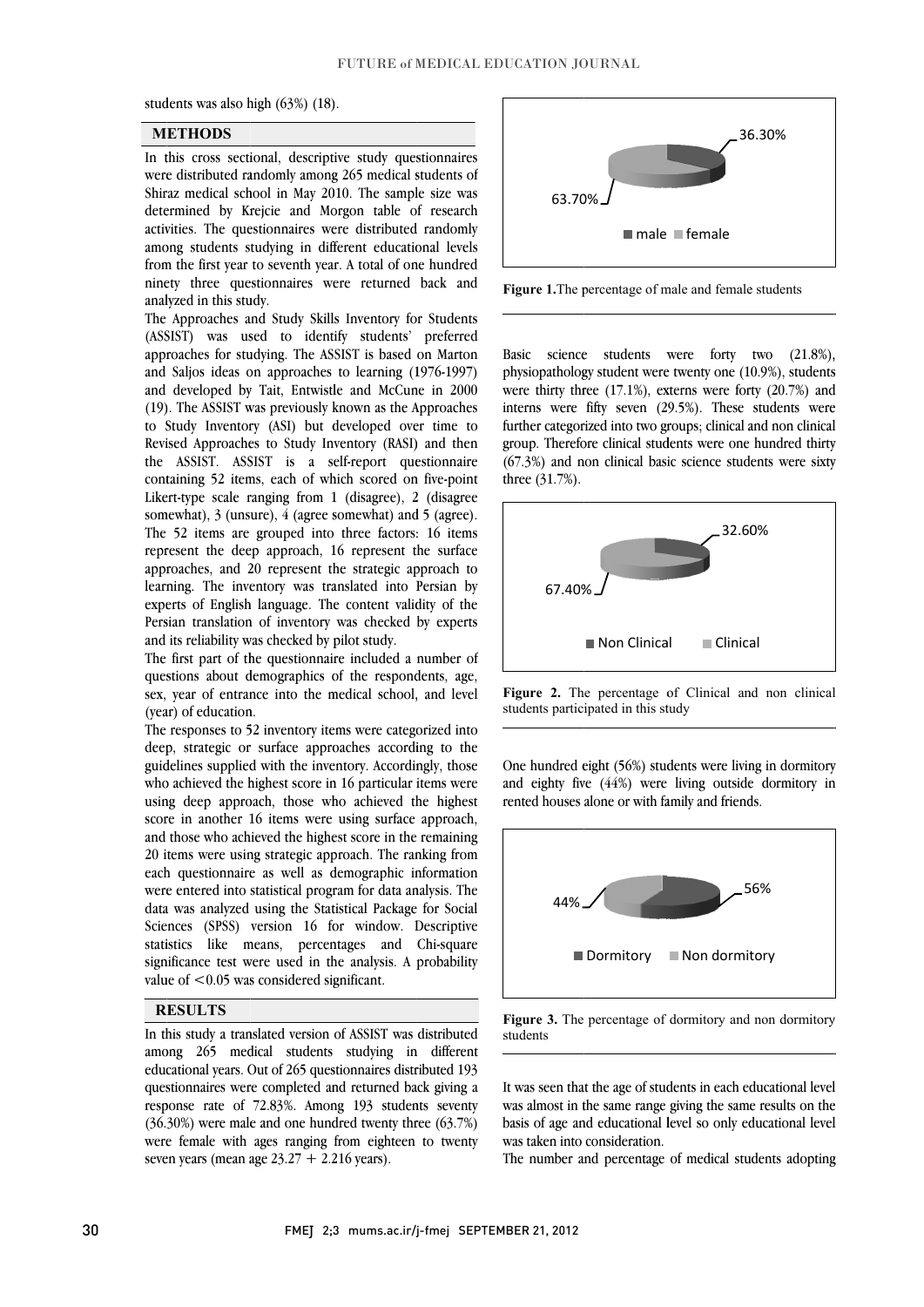students was also high (63%) (18).

#### **M ETHODS**

In this cross sectional, descriptive study questionnaires were distributed randomly among 265 medical students of Shiraz medical school in May 2010. The sample size was determined by Krejcie and Morgon table of research activities. The questionnaires were distributed randomly among students studying in different educational levels from the first year to seventh year. A total of one hundred ninety three questionnaires were returned back and analyzed in this study.

The Approaches and Study Skills Inventory for Students (ASSIST) was used to identify students' preferred approaches for studying. The ASSIST is based on Marton and Saljos ideas on approaches to learning (1976-1997) and developed by Tait, Entwistle and McCune in 2000 (19). The ASSIST was previously known as the Approaches to Study Inventory (ASI) but developed over time to Revised Approaches to Study Inventory (RASI) and then the ASSIST. ASSIST is a self-report questionnaire containing 52 items, each of which scored on five-point Likert-type scale ranging from 1 (disagree), 2 (disagree somewhat), 3 (unsure), 4 (agree somewhat) and 5 (agree). The 52 items are grouped into three factors: 16 items represent the deep approach, 16 represent the surface approaches, and 20 represent the strategic approach to learning. The inventory was translated into Persian by experts of English language. The content validity of the Persian translation of inventory was checked by experts and its reliability was checked by pilot study.

The first part of the questionnaire included a number of questions about demographics of the respondents, age, sex, year of entrance into the medical school, and level (year) of education.

The responses to 52 inventory items were categorized into deep, strategic or surface approaches according to the guidelines supplied with the inventory. Accordingly, those who achieved the highest score in 16 particular items were using deep approach, those who achieved the highest score in another 16 items were using surface approach, and those who achieved the highest score in the remaining 20 items were using strategic approach. The ranking from each questionnaire as well as demographic information were entered into statistical program for data analysis. The data was analyzed using the Statistical Package for Social Sciences (SPSS) version 16 for window. Descriptive statistics like means, percentages and Chi-square significance test were used in the analysis. A probability value of <0.05 was considered significant.

### **R ESULTS**

In this study a translated version of ASSIST was distributed among 265 medical students studying in different educational years. Out of 265 questionnaires distributed 193 questionnaires were completed and returned back giving a response rate of 72.83%. Among 193 students seventy (36.30%) were male and one hundred twenty three (63.7%) were female with ages ranging from eighteen to twenty seven years (mean age  $23.27 + 2.216$  years).



Figure 1. The percentage of male and female stu-e students

Basic science students were forty two (21.8%), physiopathology student were twenty one (10.9%), students were thirty three  $(17.1\%)$ , externs were forty  $(20.7\%)$  and interns were fifty seven (29.5%). These students were further categorized into two groups; clinical and non clinical group. Therefore clinical students were one hundred thirty  $(67.3%)$  and non clinical basic science students were sixty three (31.7%).



Figure 2. The percentage of Clinical and n students participated in this study nd non clinical

 $\overline{a}$ 

Ī

One hundred eight (56%) students were living in dormitory and eighty five (44%) were living outside dormitory in rented houses alone or with family and friends.





It was seen that the age of students in each educational level was almost in the same range giving the same results on the basis of age and educational level so only educational level was taken into consideration.

The number and percentage of medical students adopting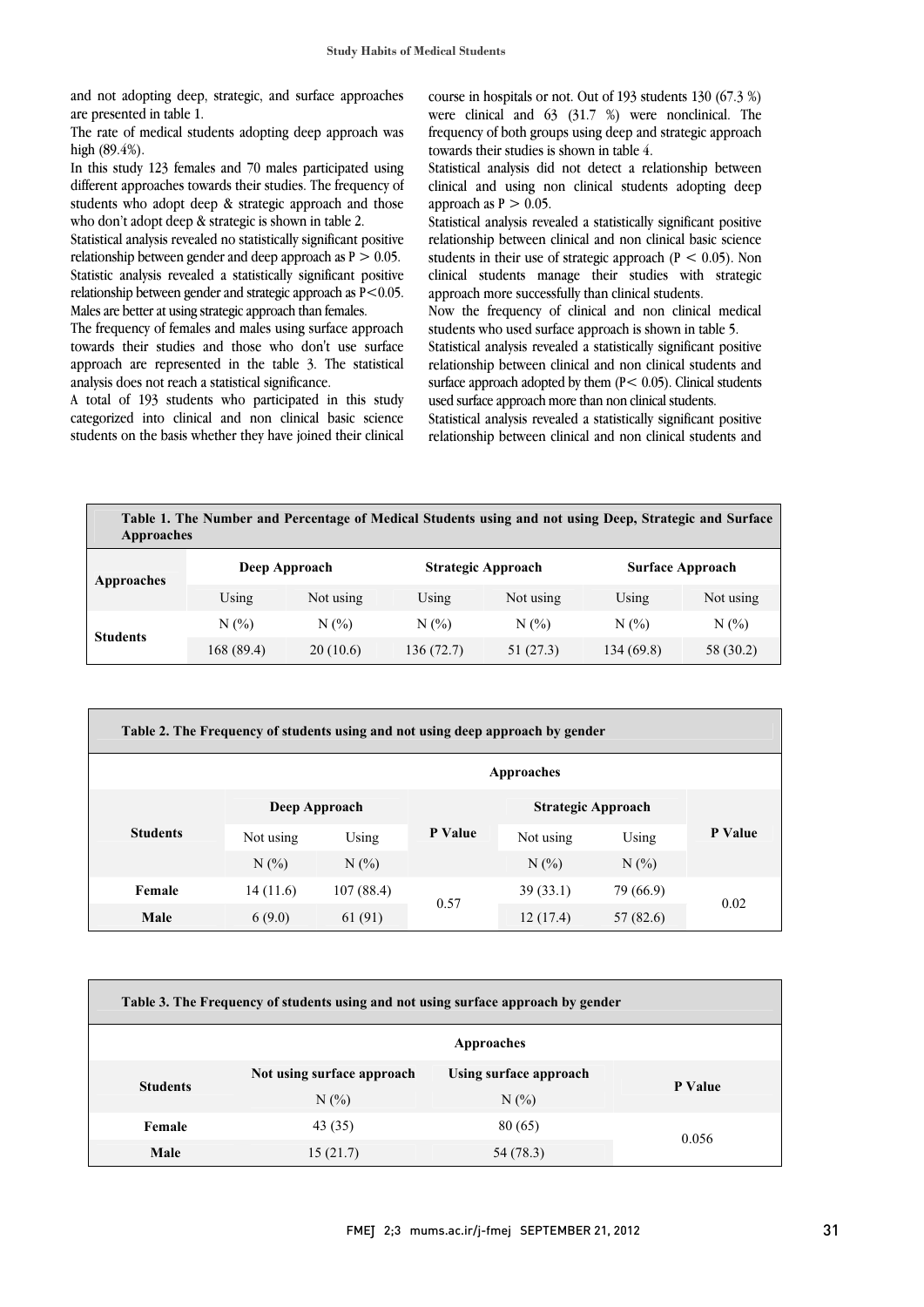and not adopting deep, strategic, and surface approaches are presented in table 1.

The rate of medical students adopting deep approach was high (89.4%).

In this study 123 females and 70 males participated using different approaches towards their studies. The frequency of students who adopt deep & strategic approach and those who don't adopt deep & strategic is shown in table 2.

Statistical analysis revealed no statistically significant positive relationship between gender and deep approach as  $P > 0.05$ . Statistic analysis revealed a statistically significant positive relationship between gender and strategic approach as  $P < 0.05$ . Males are better at using strategic approach than females.

The frequency of females and males using surface approach towards their studies and those who don't use surface approach are represented in the table 3. The statistical analysis does not reach a statistical significance.

A total of 193 students who participated in this study categorized into clinical and non clinical basic science students on the basis whether they have joined their clinical

 course in hospitals or not. Out of 193 students 130 (67.3 %) were clinical and 63 (31.7 %) were nonclinical. The towards their studies is shown in table 4. frequency of both groups using deep and strategic approach

 Statistical analysis did not detect a relationship between clinical and using non clinical students adopting deep approach as  $P > 0.05$ .

 relationship between clinical and non clinical basic science students in their use of strategic approach  $(P < 0.05)$ . Non clinical students manage their studies with strategic approach more successfully than clinical students. Statistical analysis revealed a statistically significant positive

 students who used surface approach is shown in table 5. Now the frequency of clinical and non clinical medical

 Statistical analysis revealed a statistically significant positive relationship between clinical and non clinical students and surface approach adopted by them  $(P < 0.05)$ . Clinical students used surface approach more than non clinical students.

 Statistical analysis revealed a statistically significant positive relationship between clinical and non clinical students and

| Approaches |               | Table 1. The Number and Percentage of Medical Students using and not using Deep, Strategic and Surface |                         |
|------------|---------------|--------------------------------------------------------------------------------------------------------|-------------------------|
| Annroaches | Deep Approach | <b>Strategic Approach</b>                                                                              | <b>Surface Approach</b> |

L

 $\overline{\phantom{0}}$ 

| Approaches      | Deep Approach |           |            | <b>Strategic Approach</b> |            | <b>Surface Approach</b> |  |
|-----------------|---------------|-----------|------------|---------------------------|------------|-------------------------|--|
|                 | Using         | Not using | Using      | Not using                 | Using      | Not using               |  |
| <b>Students</b> | $N(\%)$       | $N(\%)$   | $N(\%)$    | N(%)                      | N(%        | $N(\%)$                 |  |
|                 | 168 (89.4)    | 20(10.6)  | 136 (72.7) | 51 (27.3)                 | 134 (69.8) | 58 (30.2)               |  |

| Table 2. The Frequency of students using and not using deep approach by gender |           |               |         |                           |           |         |  |
|--------------------------------------------------------------------------------|-----------|---------------|---------|---------------------------|-----------|---------|--|
| Approaches                                                                     |           |               |         |                           |           |         |  |
|                                                                                |           | Deep Approach |         | <b>Strategic Approach</b> |           |         |  |
| <b>Students</b>                                                                | Not using | Using         | P Value | Not using                 | Using     | P Value |  |
|                                                                                | $N(\%)$   | $N(\%)$       |         | N(%                       | N(%)      |         |  |
| Female                                                                         | 14(11.6)  | 107(88.4)     | 0.57    | 39(33.1)                  | 79 (66.9) | 0.02    |  |
| Male                                                                           | 6(9.0)    | 61 (91)       |         | 12(17.4)                  | 57(82.6)  |         |  |

| Table 3. The Frequency of students using and not using surface approach by gender |                            |                        |         |  |  |  |
|-----------------------------------------------------------------------------------|----------------------------|------------------------|---------|--|--|--|
| Approaches                                                                        |                            |                        |         |  |  |  |
| <b>Students</b>                                                                   | Not using surface approach | Using surface approach | P Value |  |  |  |
|                                                                                   | N(%                        | $N(\%)$                |         |  |  |  |
| Female                                                                            | 43(35)                     | 80(65)                 | 0.056   |  |  |  |
| Male                                                                              | 15(21.7)                   | 54 (78.3)              |         |  |  |  |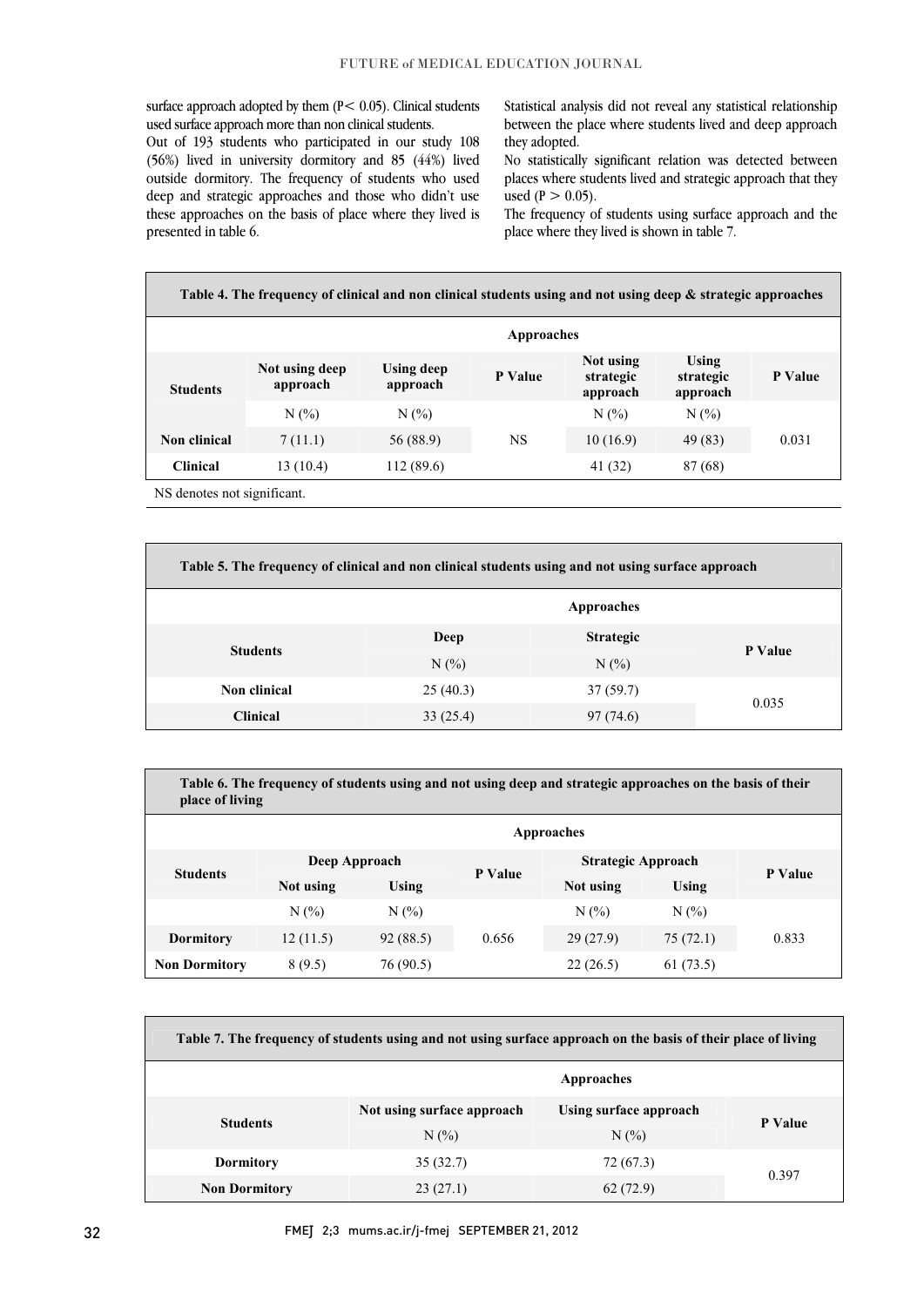surface approach adopted by them  $(P < 0.05)$ . Clinical students used surface approach more than non clinical students.

Out of 193 students who participated in our study 108 (56%) lived in university dormitory and 85 (44%) lived outside dormitory. The frequency of students who used deep and strategic approaches and those who didn't use these approaches on the basis of place where they lived is presented in table 6.

Statistical analysis did not reveal any statistical relationship between the place where students lived and deep approach they adopted.

No statistically significant relation was detected between places where students lived and strategic approach that they used ( $P > 0.05$ ).

The frequency of students using surface approach and the place where they lived is shown in table 7.

**Table 4. The frequency of clinical and non clinical students using and not using deep & strategic approaches Approaches**

| <b>Students</b> | Not using deep<br>approach | Using deep<br>approach | P Value | Not using<br>strategic<br>approach | Using<br>strategic<br>approach | P Value |
|-----------------|----------------------------|------------------------|---------|------------------------------------|--------------------------------|---------|
|                 | N(%                        | $N(\%)$                |         | N(%)                               | N(%                            |         |
| Non clinical    | 7(11.1)                    | 56 (88.9)              | NS      | 10(16.9)                           | 49 (83)                        | 0.031   |
| <b>Clinical</b> | 13 (10.4)                  | 112 (89.6)             |         | 41 (32)                            | 87 (68)                        |         |
|                 |                            |                        |         |                                    |                                |         |

NS denotes not significant.

| Table 5. The frequency of clinical and non clinical students using and not using surface approach |          |                  |         |  |  |  |
|---------------------------------------------------------------------------------------------------|----------|------------------|---------|--|--|--|
|                                                                                                   |          | Approaches       |         |  |  |  |
| <b>Students</b>                                                                                   | Deep     | <b>Strategic</b> | P Value |  |  |  |
|                                                                                                   | $N(\%)$  | $N(\%)$          |         |  |  |  |
| Non clinical                                                                                      | 25(40.3) | 37(59.7)         |         |  |  |  |
| <b>Clinical</b>                                                                                   | 33(25.4) | 97(74.6)         | 0.035   |  |  |  |

**Table 6. The frequency of students using and not using deep and strategic approaches on the basis of their place of living**

| Approaches           |               |           |         |                           |          |         |
|----------------------|---------------|-----------|---------|---------------------------|----------|---------|
|                      | Deep Approach |           |         | <b>Strategic Approach</b> |          |         |
| <b>Students</b>      | Not using     | Using     | P Value | Not using                 | Using    | P Value |
|                      | N(%           | $N(\%)$   |         | N(%                       | N(%      |         |
| <b>Dormitory</b>     | 12(11.5)      | 92 (88.5) | 0.656   | 29(27.9)                  | 75(72.1) | 0.833   |
| <b>Non Dormitory</b> | 8 (9.5)       | 76 (90.5) |         | 22(26.5)                  | 61(73.5) |         |

| Table 7. The frequency of students using and not using surface approach on the basis of their place of living |                            |                        |         |  |  |  |
|---------------------------------------------------------------------------------------------------------------|----------------------------|------------------------|---------|--|--|--|
| Approaches                                                                                                    |                            |                        |         |  |  |  |
| <b>Students</b>                                                                                               | Not using surface approach | Using surface approach | P Value |  |  |  |
|                                                                                                               | N(%)                       | N(%)                   |         |  |  |  |
| <b>Dormitory</b>                                                                                              | 35(32.7)                   | 72 (67.3)              | 0.397   |  |  |  |
| <b>Non Dormitory</b>                                                                                          | 23(27.1)                   | 62(72.9)               |         |  |  |  |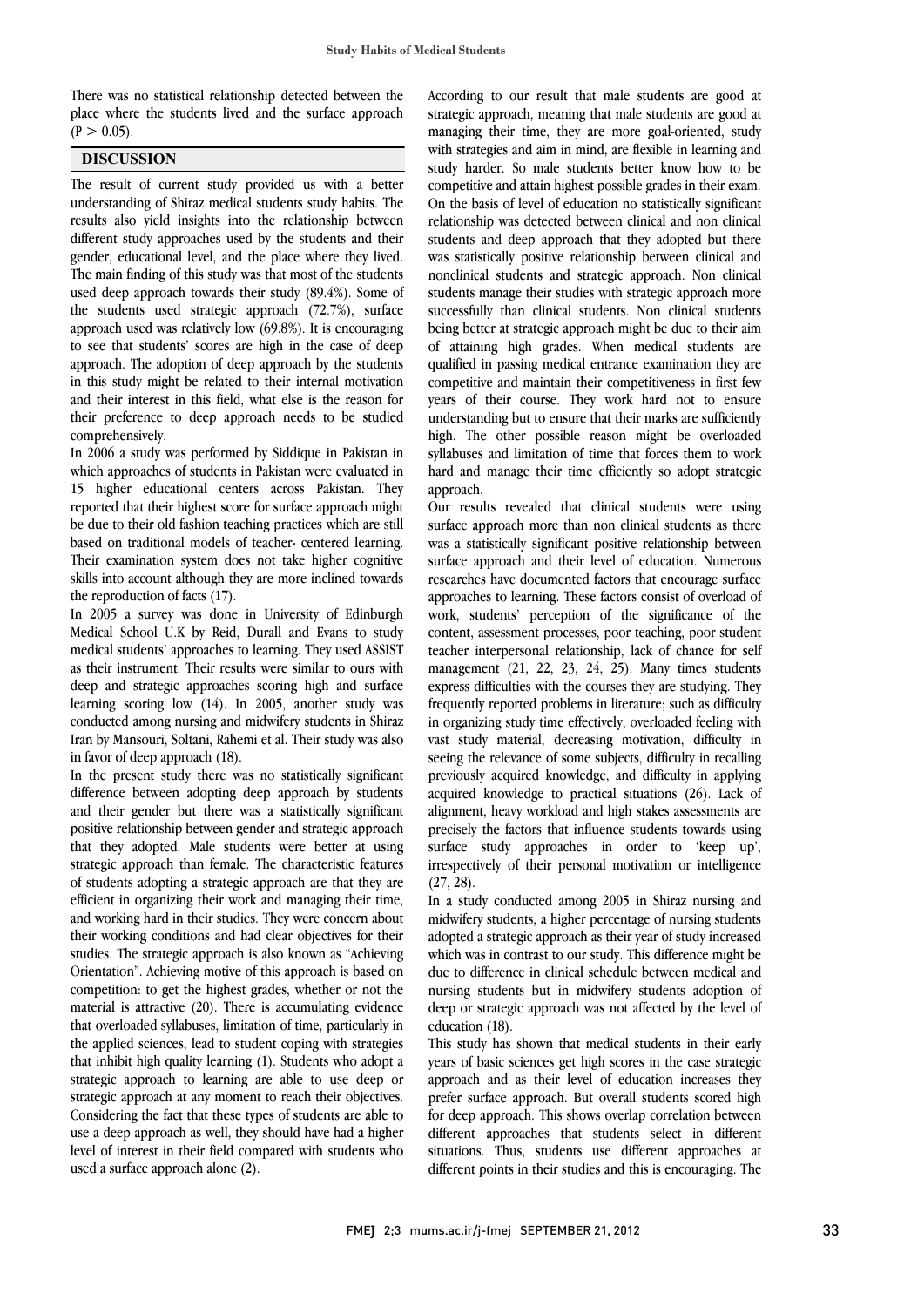There was no statistical relationship detected between the place where the students lived and the surface approach  $(P > 0.05)$ .

## **DISCUSSION**

The result of current study provided us with a better understanding of Shiraz medical students study habits. The results also yield insights into the relationship between different study approaches used by the students and their gender, educational level, and the place where they lived. The main finding of this study was that most of the students used deep approach towards their study (89.4%). Some of the students used strategic approach (72.7%), surface approach used was relatively low (69.8%). It is encouraging to see that students' scores are high in the case of deep approach. The adoption of deep approach by the students in this study might be related to their internal motivation and their interest in this field, what else is the reason for their preference to deep approach needs to be studied comprehensively.

In 2006 a study was performed by Siddique in Pakistan in which approaches of students in Pakistan were evaluated in 15 higher educational centers across Pakistan. They reported that their highest score for surface approach might be due to their old fashion teaching practices which are still based on traditional models of teacher- centered learning. Their examination system does not take higher cognitive skills into account although they are more inclined towards the reproduction of facts (17).

In 2005 a survey was done in University of Edinburgh Medical School U.K by Reid, Durall and Evans to study medical students' approaches to learning. They used ASSIST as their instrument. Their results were similar to ours with deep and strategic approaches scoring high and surface learning scoring low (14). In 2005, another study was conducted among nursing and midwifery students in Shiraz Iran by Mansouri, Soltani, Rahemi et al. Their study was also in favor of deep approach (18).

In the present study there was no statistically significant difference between adopting deep approach by students and their gender but there was a statistically significant positive relationship between gender and strategic approach that they adopted. Male students were better at using strategic approach than female. The characteristic features of students adopting a strategic approach are that they are efficient in organizing their work and managing their time, and working hard in their studies. They were concern about their working conditions and had clear objectives for their studies. The strategic approach is also known as "Achieving Orientation". Achieving motive of this approach is based on competition: to get the highest grades, whether or not the material is attractive (20). There is accumulating evidence that overloaded syllabuses, limitation of time, particularly in the applied sciences, lead to student coping with strategies that inhibit high quality learning (1). Students who adopt a strategic approach to learning are able to use deep or strategic approach at any moment to reach their objectives. Considering the fact that these types of students are able to use a deep approach as well, they should have had a higher level of interest in their field compared with students who used a surface approach alone (2).

According to our result that male students are good at strategic approach, meaning that male students are good at managing their time, they are more goal-oriented, study with strategies and aim in mind, are flexible in learning and study harder. So male students better know how to be competitive and attain highest possible grades in their exam. On the basis of level of education no statistically significant relationship was detected between clinical and non clinical students and deep approach that they adopted but there was statistically positive relationship between clinical and nonclinical students and strategic approach. Non clinical students manage their studies with strategic approach more successfully than clinical students. Non clinical students being better at strategic approach might be due to their aim of attaining high grades. When medical students are qualified in passing medical entrance examination they are competitive and maintain their competitiveness in first few years of their course. They work hard not to ensure understanding but to ensure that their marks are sufficiently high. The other possible reason might be overloaded syllabuses and limitation of time that forces them to work hard and manage their time efficiently so adopt strategic approach.

Our results revealed that clinical students were using surface approach more than non clinical students as there was a statistically significant positive relationship between surface approach and their level of education. Numerous researches have documented factors that encourage surface approaches to learning. These factors consist of overload of work, students' perception of the significance of the content, assessment processes, poor teaching, poor student teacher interpersonal relationship, lack of chance for self management (21, 22, 23, 24, 25). Many times students express difficulties with the courses they are studying. They frequently reported problems in literature; such as difficulty in organizing study time effectively, overloaded feeling with vast study material, decreasing motivation, difficulty in seeing the relevance of some subjects, difficulty in recalling previously acquired knowledge, and difficulty in applying acquired knowledge to practical situations (26). Lack of alignment, heavy workload and high stakes assessments are precisely the factors that influence students towards using surface study approaches in order to 'keep up', irrespectively of their personal motivation or intelligence (27, 28).

In a study conducted among 2005 in Shiraz nursing and midwifery students, a higher percentage of nursing students adopted a strategic approach as their year of study increased which was in contrast to our study. This difference might be due to difference in clinical schedule between medical and nursing students but in midwifery students adoption of deep or strategic approach was not affected by the level of education (18).

This study has shown that medical students in their early years of basic sciences get high scores in the case strategic approach and as their level of education increases they prefer surface approach. But overall students scored high for deep approach. This shows overlap correlation between different approaches that students select in different situations. Thus, students use different approaches at different points in their studies and this is encouraging. The